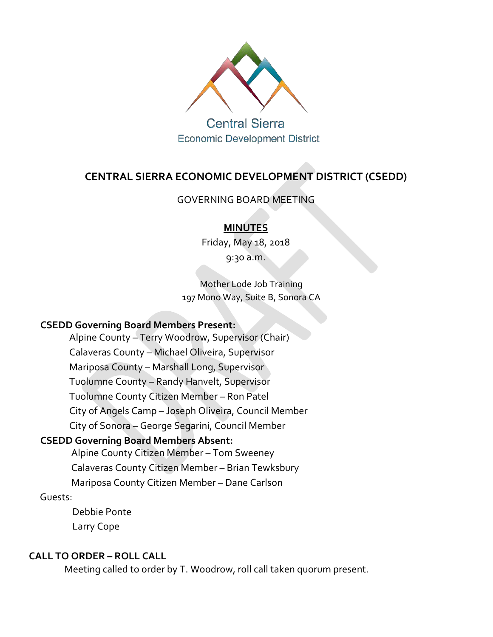

**Central Sierra Economic Development District** 

# **CENTRAL SIERRA ECONOMIC DEVELOPMENT DISTRICT (CSEDD)**

#### GOVERNING BOARD MEETING

#### **MINUTES**

Friday, May 18, 2018

9:30 a.m.

Mother Lode Job Training 197 Mono Way, Suite B, Sonora CA

## **CSEDD Governing Board Members Present:**

Alpine County – Terry Woodrow, Supervisor (Chair) Calaveras County – Michael Oliveira, Supervisor Mariposa County – Marshall Long, Supervisor Tuolumne County – Randy Hanvelt, Supervisor Tuolumne County Citizen Member – Ron Patel City of Angels Camp – Joseph Oliveira, Council Member City of Sonora – George Segarini, Council Member

## **CSEDD Governing Board Members Absent:**

Alpine County Citizen Member – Tom Sweeney Calaveras County Citizen Member – Brian Tewksbury Mariposa County Citizen Member – Dane Carlson

#### Guests:

Debbie Ponte Larry Cope

#### **CALL TO ORDER – ROLL CALL**

Meeting called to order by T. Woodrow, roll call taken quorum present.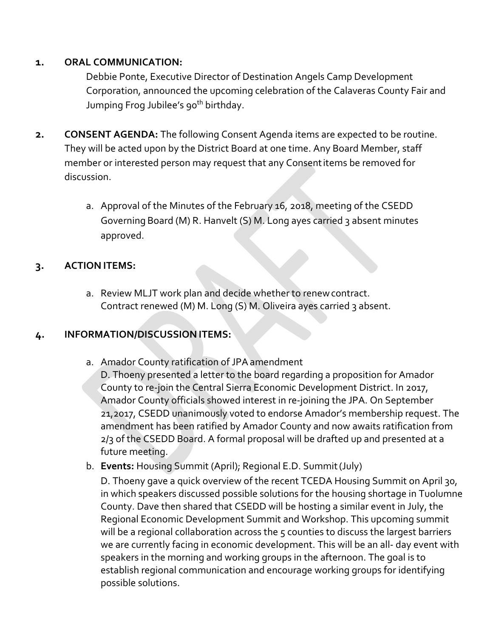#### **1. ORAL COMMUNICATION:**

Debbie Ponte, Executive Director of Destination Angels Camp Development Corporation, announced the upcoming celebration of the Calaveras County Fair and Jumping Frog Jubilee's 90<sup>th</sup> birthday.

- **2. CONSENT AGENDA:** The following Consent Agenda items are expected to be routine. They will be acted upon by the District Board at one time. Any Board Member, staff member or interested person may request that any Consentitems be removed for discussion.
	- a. Approval of the Minutes of the February 16, 2018, meeting of the CSEDD Governing Board (M) R. Hanvelt (S) M. Long ayes carried 3 absent minutes approved.

## **3. ACTION ITEMS:**

a. Review MLJT work plan and decide whether to renewcontract. Contract renewed (M) M. Long (S) M. Oliveira ayes carried 3 absent.

## **4. INFORMATION/DISCUSSION ITEMS:**

a. Amador County ratification of JPAamendment

D. Thoeny presented a letter to the board regarding a proposition for Amador County to re-join the Central Sierra Economic Development District. In 2017, Amador County officials showed interest in re-joining the JPA. On September 21,2017, CSEDD unanimously voted to endorse Amador's membership request. The amendment has been ratified by Amador County and now awaits ratification from 2/3 of the CSEDD Board. A formal proposal will be drafted up and presented at a future meeting.

b. **Events:** Housing Summit (April); Regional E.D. Summit(July)

D. Thoeny gave a quick overview of the recent TCEDA Housing Summit on April 30, in which speakers discussed possible solutions for the housing shortage in Tuolumne County. Dave then shared that CSEDD will be hosting a similar event in July, the Regional Economic Development Summit and Workshop. This upcoming summit will be a regional collaboration across the 5 counties to discuss the largest barriers we are currently facing in economic development. This will be an all- day event with speakers in the morning and working groups in the afternoon. The goal is to establish regional communication and encourage working groups for identifying possible solutions.